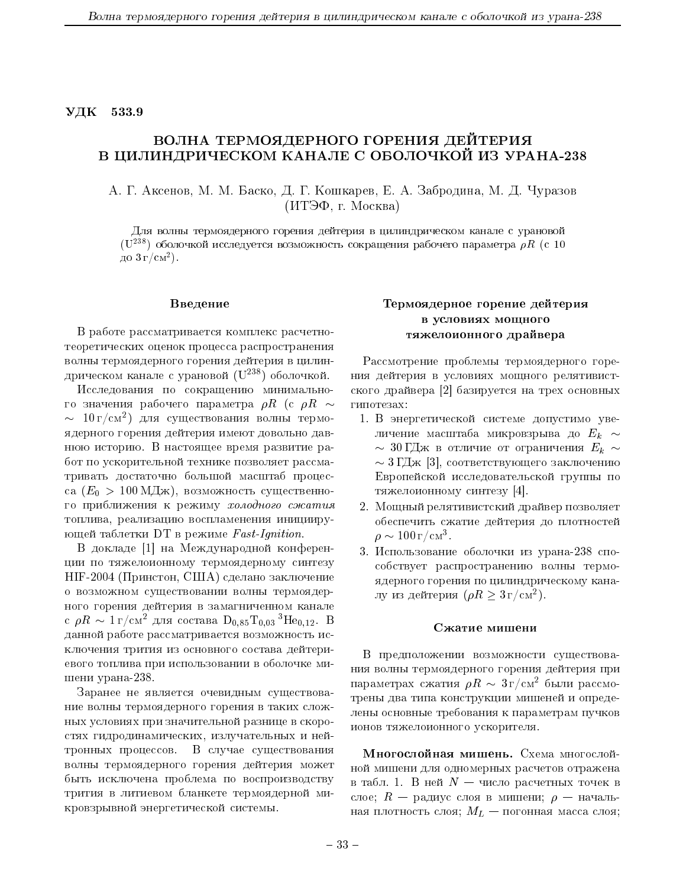УДК 533.9

# ВОЛНА ТЕРМОЯДЕРНОГО ГОРЕНИЯ ДЕЙТЕРИЯ В ЦИЛИНДРИЧЕСКОМ КАНАЛЕ С ОБОЛОЧКОЙ ИЗ УРАНА-238

А. Г. Аксенов, М. М. Баско, Д. Г. Кошкарев, Е. А. Забродина, М. Д. Чуразов (ИТЭФ, г. Москва)

Для волны термоядерного горения дейтерия в цилиндрическом канале с урановой  $(U^{238})$  оболочкой исследуется возможность сокращения рабочего параметра  $\rho R$  (с 10 до  $3r/cm^2$ ).

### Введение

В работе рассматривается комплекс расчетнотеоретических оценок процесса распространения волны термоядерного горения дейтерия в цилиндрическом канале с урановой  $(U^{238})$  оболочкой.

Исследования по сокращению минимального значения рабочего параметра  $\rho R$  (с  $\rho R \sim$  $\sim 10 \text{ r/cm}^2$ ) для существования волны термоядерного горения дейтерия имеют довольно давнюю историю. В настоящее время развитие работ по ускорительной технике позволяет рассматривать достаточно большой масштаб процесса  $(E_0 > 100 \mathrm{M} \text{J} \text{m})$ , возможность существенного приближения к режиму холодного сжатия топлива, реализацию воспламенения инициирующей таблетки DT в режиме Fast-Ignition.

В докладе [1] на Международной конференции по тяжелоионному термоядерному синтезу НІГ-2004 (Принстон, США) сделано заключение о возможном существовании волны термоядерного горения дейтерия в замагниченном канале с  $\rho R \sim 1 \text{ r/cm}^2$  для состава  $D_{0.85}T_{0.03}{}^{3}He_{0.12}$ . В данной работе рассматривается возможность исключения трития из основного состава дейтериевого топлива при использовании в оболочке мишени урана-238.

Заранее не является очевидным существование волны термоядерного горения в таких сложных условиях при значительной разнице в скоростях гидродинамических, излучательных и нейтронных процессов. В случае существования волны термоядерного горения дейтерия может быть исключена проблема по воспроизводству трития в литиевом бланкете термоядерной микровзрывной энергетической системы.

## Термоядерное горение дейтерия в условиях мощного тяжелоионного драйвера

Рассмотрение проблемы термоядерного горения дейтерия в условиях мощного релятивистского драйвера [2] базируется на трех основных гипотезах:

- 1. В энергетической системе допустимо увеличение масштаба микровзрыва до  $E_k \sim$  $\sim 30$ ГДж в отличие от ограничения  $E_k \sim$  $\sim 3 \Gamma/\text{Lm}$  [3], соответствующего заключению Европейской исследовательской группы по тяжелоионному синтезу [4].
- 2. Мощный релятивистский драйвер позволяет обеспечить сжатие дейтерия до плотностей  $\rho \sim 100 \,\mathrm{r/cm^3}$ .
- 3. Использование оболочки из урана-238 способствует распространению волны термоядерного горения по цилиндрическому каналу из дейтерия  $(\rho R \geq 3 \text{ r/cm}^2)$ .

#### Сжатие мишени

В предположении возможности существования волны термоядерного горения дейтерия при параметрах сжатия  $\rho R \sim 3 r/cm^2$  были рассмотрены два типа конструкции мишеней и определены основные требования к параметрам пучков ионов тяжелоионного ускорителя.

Многослойная мишень. Схема многослойной мишени для одномерных расчетов отражена в табл. 1. В ней  $N-$  число расчетных точек в слое;  $R$  — радиус слоя в мишени;  $\rho$  — начальная плотность слоя;  $M_L$  — погонная масса слоя;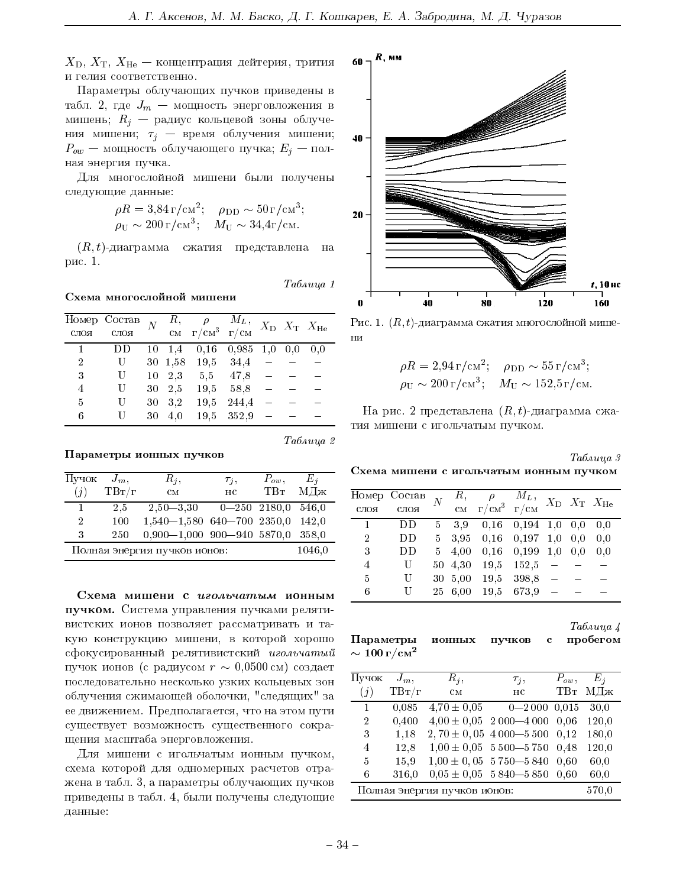$X_{\text{D}}, X_{\text{T}}, X_{\text{He}}$  — концентрация дейтерия, трития и гелия соответственно.

Параметры облучающих пучков приведены в табл. 2, где  $J_m$  – мощность энерговложения в мишень;  $R_i$  – радиус кольцевой зоны облучения мишени;  $\tau_j$  - время облучения мишени;  $P_{ow}$  — мощность облучающего пучка;  $E_j$  — полная энергия пучка.

Для многослойной мишени были получены следующие данные:

$$
\rho R = 3.84 \,\mathrm{r/cm^2}; \quad \rho_{\rm DD} \sim 50 \,\mathrm{r/cm^3};
$$
  

$$
\rho_{\rm U} \sim 200 \,\mathrm{r/cm^3}; \quad M_{\rm U} \sim 34.4 \,\mathrm{r/cm}.
$$

 $(R, t)$ -диаграмма сжатия представлена - на рис. 1.

Таблица 1

Таблица 2

Схема многослойной мишени

|      | $\overline{\text{Homep}}$ Состав $N$ |    |                | $\begin{array}{ccc} R, & \rho & M_L, \ \text{cm} & \text{cm}^3 & \text{r/cm}^3 \end{array}$ |                            |  | $X_D$ $X_T$ $X_{He}$ |
|------|--------------------------------------|----|----------------|---------------------------------------------------------------------------------------------|----------------------------|--|----------------------|
| слоя | слоя                                 |    |                |                                                                                             |                            |  |                      |
|      |                                      |    | $10 \quad 1.4$ |                                                                                             | $0,16$ $0,985$ $1,0$ $0,0$ |  | 0.0                  |
| 2    | U                                    |    | 30 1,58        |                                                                                             | 19,5 34,4                  |  |                      |
| 3    | U                                    | 10 | 2.3            |                                                                                             | 5,5 47,8                   |  |                      |
| 4    | U                                    |    | 30 2.5         | 19,5                                                                                        | 58.8                       |  |                      |
| 5    |                                      | 30 | 3,2            | 19,5                                                                                        | 244,4                      |  |                      |
| 6    |                                      | 30 | 4.0            | 19.5                                                                                        | 352,9                      |  |                      |

Параметры ионных пучков

| Пучок                        | $J_m$ ,  | $R_i$                                | $\tau_j,$   | $P_{ow}$ | $E_i$   |  |
|------------------------------|----------|--------------------------------------|-------------|----------|---------|--|
| (i)                          | $TB_T/r$ | CM                                   | $_{\rm HC}$ |          | ТВт МДж |  |
| 1.                           | 2.5      | $2,50-3,30$ $0-250$ $2180,0$ $546,0$ |             |          |         |  |
| $\overline{2}$               | 100      | $1,540-1,580$ 640-700 2350,0         |             |          | 142,0   |  |
| 3                            | 250      | $0,900-1,000$ 900-940 5870,0 358,0   |             |          |         |  |
| Полная энергия пучков ионов: |          |                                      |             |          |         |  |

Схема мишени с игольчатым ионным пучком. Система управления пучками релятивистских ионов позволяет рассматривать и такую конструкцию мишени, в которой хорошо сфокусированный релятивистский игольчатый пучок ионов (с радиусом  $r \sim 0.0500$  см) создает последовательно несколько узких кольцевых зон облучения сжимающей оболочки, "следящих" за ее движением. Предполагается, что на этом пути существует возможность существенного сокращения масштаба энерговложения.

Для мишени с игольчатым ионным пучком, схема которой для одномерных расчетов отражена в табл. 3, а параметры облучающих пучков приведены в табл. 4, были получены следующие данные:



Рис. 1.  $(R, t)$ -диаграмма сжатия многослойной мишени

$$
\rho R = 2.94 \,\mathrm{r/cm^2}; \quad \rho_{\rm DD} \sim 55 \,\mathrm{r/cm^3};
$$
  

$$
\rho_{\rm U} \sim 200 \,\mathrm{r/cm^3}; \quad M_{\rm U} \sim 152.5 \,\mathrm{r/cm}.
$$

На рис. 2 представлена  $(R, t)$ -диаграмма сжатия мишени с игольчатым пучком.

Таблица 3 Схема мишени с игольчатым ионным пучком

|      | Номер Состав |             | R,      | $\rho$          | $M_L$ ,     |     |     | $X_{\text{D}}$ $X_{\text{T}}$ $X_{\text{He}}$ |
|------|--------------|-------------|---------|-----------------|-------------|-----|-----|-----------------------------------------------|
| слоя | слоя         |             | CM      | $r/cM^3 - r/cM$ |             |     |     |                                               |
|      | DD           | $5^{\circ}$ | 3.9     | 0.16            | $0,194$ 1,0 |     | 0.0 | 0.0                                           |
| 2    | DD           | $5 -$       | 3.95    | 0.16            | 0,197       | 1,0 | 0.0 | 0.0                                           |
| 3    | DD           | 5           | 4.00    | 0.16            | 0.199       | 1,0 | 0.0 | 0.0                                           |
| 4    | U            |             | 50 4.30 | 19,5            | 152,5       |     |     |                                               |
| 5    | U            |             | 30 5.00 | 19.5            | 398,8       |     |     |                                               |
| 6    |              |             | 25 6,00 | 19,5            | 673.9       |     |     |                                               |
|      |              |             |         |                 |             |     |     |                                               |

Таблица 4 Параметры ионных пробегом пучков  $\mathbf c$  $\sim 100$  г/см $^2$ 

| Пучок                        | $J_m$ ,  | $R_i$ ,   | $\tau_i$ ,                    | $P_{ow}$ ,      | $E_i$ |  |
|------------------------------|----------|-----------|-------------------------------|-----------------|-------|--|
| (j)                          | $TB_T/r$ | $\rm{cm}$ | HC.                           | TB <sub>T</sub> | МДж   |  |
| 1                            | 0,085    |           | $4,70 \pm 0,05$ 0-2000 0.015  |                 | 30.0  |  |
| $\overline{2}$               | 0,400    |           | $4,00 \pm 0,05$ 2000 - 4000   | 0.06            | 120,0 |  |
| 3                            | 1,18     |           | $2,70 \pm 0,05$ 4 000 - 5 500 | 0.12            | 180,0 |  |
| 4                            | 12,8     |           | $1,00 \pm 0,05$ 5 500 - 5 750 | 0.48            | 120,0 |  |
| 5                            | 15,9     |           | $1,00 \pm 0,05$ 5 750 - 5 840 | 0.60            | 60,0  |  |
| 6                            | 316,0    |           | $0.05 \pm 0.05$ 5 840 - 5 850 | 0.60            | 60,0  |  |
| Полная энергия пучков ионов: |          |           |                               |                 |       |  |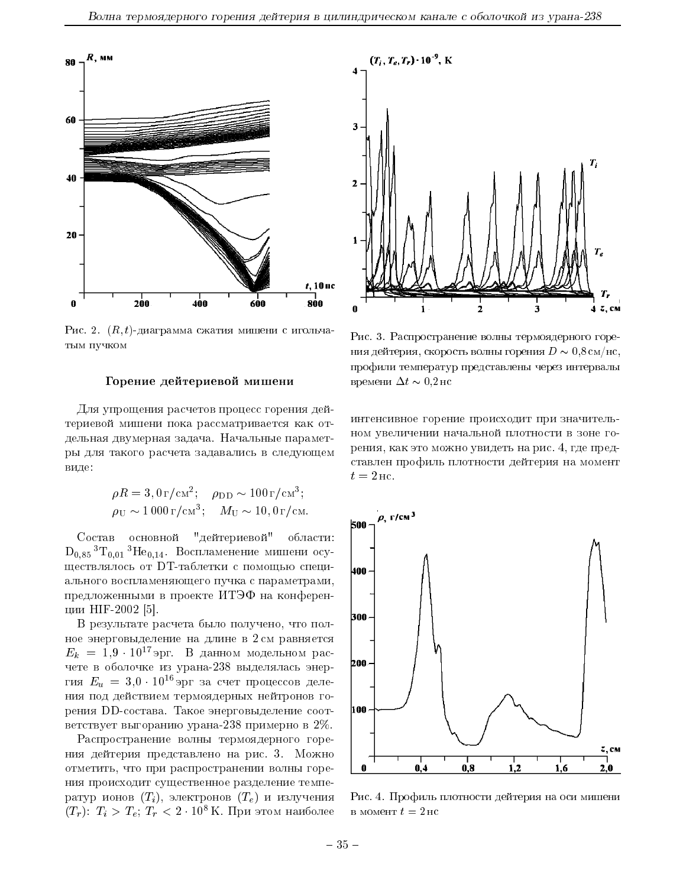

Рис. 2.  $(R, t)$ -диаграмма сжатия мишени с игольчатым пучком

#### Горение дейтериевой мишени

Для упрощения расчетов процесс горения дейтериевой мишени пока рассматривается как отдельная двумерная задача. Начальные параметры для такого расчета задавались в следующем виде:

$$
\rho R = 3,0 \,\mathrm{r/cm^2}; \quad \rho_{\rm DD} \sim 100 \,\mathrm{r/cm^3};
$$
  

$$
\rho_{\rm U} \sim 1000 \,\mathrm{r/cm^3}; \quad M_{\rm U} \sim 10,0 \,\mathrm{r/cm}.
$$

Состав основной "дейтериевой" области:  $D_{0.85}$ <sup>3</sup>T<sub>0.01</sub><sup>3</sup>He<sub>0.14</sub>. Воспламенение мишени осуществлялось от DT-таблетки с помощью специального воспламеняющего пучка с параметрами, предложенными в проекте ИТЭФ на конференции НІГ-2002 [5].

В результате расчета было получено, что полное энерговыделение на длине в 2 см равняется  $E_k = 1.9 \cdot 10^{17}$ эрг. В данном модельном расчете в оболочке из урана-238 выделялась энергия  $E_u = 3.0 \cdot 10^{16}$ эрг за счет процессов деления под действием термоядерных нейтронов горения DD-состава. Такое энерговыделение соответствует выгоранию урана-238 примерно в 2%.

Распространение волны термоядерного горения дейтерия представлено на рис. 3. Можно отметить, что при распространении волны горения происходит существенное разделение температур ионов  $(T_i)$ , электронов  $(T_e)$  и излучения  $(T_r)$ :  $T_i > T_e$ ;  $T_r < 2 \cdot 10^8$  К. При этом наиболее



Рис. 3. Распространение волны термоядерного горения дейтерия, скорость волны горения  $D \sim 0.8 \text{ cm/pc}$ , профили температур представлены через интервалы времени  $\Delta t \sim 0.2$  но

интенсивное горение происходит при значительном увеличении начальной плотности в зоне горения, как это можно увидеть на рис. 4, где представлен профиль плотности дейтерия на момент  $t=2 \,\mathrm{nc}$ .



Рис. 4. Профиль плотности дейтерия на оси мишени в момент  $t=2$ нс